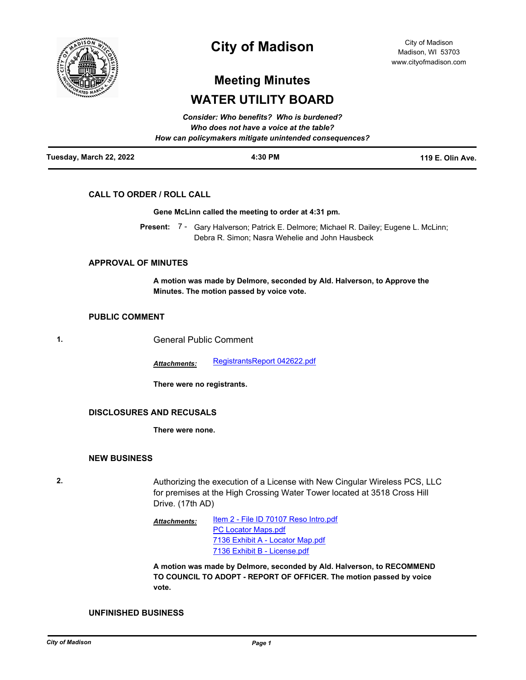

## **City of Madison**

City of Madison Madison, WI 53703 www.cityofmadison.com

# **Meeting Minutes WATER UTILITY BOARD**

*Consider: Who benefits? Who is burdened?*

| Tuesday, March 22, 2022 | 4:30 PM                                                | 119 E. Olin Ave. |
|-------------------------|--------------------------------------------------------|------------------|
|                         | How can policymakers mitigate unintended consequences? |                  |
|                         | Who does not have a voice at the table?                |                  |
|                         | Consider: who benefits? who is burdened?               |                  |

## **CALL TO ORDER / ROLL CALL**

#### **Gene McLinn called the meeting to order at 4:31 pm.**

Present: 7 - Gary Halverson; Patrick E. Delmore; Michael R. Dailey; Eugene L. McLinn; Debra R. Simon; Nasra Wehelie and John Hausbeck

## **APPROVAL OF MINUTES**

**A motion was made by Delmore, seconded by Ald. Halverson, to Approve the Minutes. The motion passed by voice vote.**

## **PUBLIC COMMENT**

**1.** General Public Comment

*Attachments:* [RegistrantsReport 042622.pdf](http://madison.legistar.com/gateway.aspx?M=F&ID=8c6aeb79-5958-4274-a062-58dfd68aecfb.pdf)

**There were no registrants.**

## **DISCLOSURES AND RECUSALS**

**There were none.**

## **NEW BUSINESS**

**2.** Authorizing the execution of a License with New Cingular Wireless PCS, LLC for premises at the High Crossing Water Tower located at 3518 Cross Hill Drive. (17th AD)

> [Item 2 - File ID 70107 Reso Intro.pdf](http://madison.legistar.com/gateway.aspx?M=F&ID=a480612c-5e52-4921-90f3-e2e48516ce7e.pdf) [PC Locator Maps.pdf](http://madison.legistar.com/gateway.aspx?M=F&ID=efb111ce-5ef3-4e47-8ad6-e71e0c2f797f.pdf) [7136 Exhibit A - Locator Map.pdf](http://madison.legistar.com/gateway.aspx?M=F&ID=ac9e2ab0-4a61-4f8b-8092-871e089e8123.pdf) [7136 Exhibit B - License.pdf](http://madison.legistar.com/gateway.aspx?M=F&ID=7c50ea4a-e703-429a-b4b9-2b7dbdc518f1.pdf) *Attachments:*

**A motion was made by Delmore, seconded by Ald. Halverson, to RECOMMEND TO COUNCIL TO ADOPT - REPORT OF OFFICER. The motion passed by voice vote.**

#### **UNFINISHED BUSINESS**